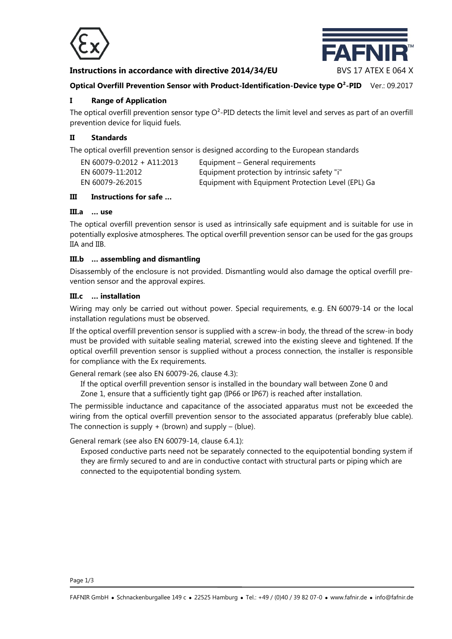

# **Instructions in accordance with directive 2014/34/EU BVS 17 ATEX E 064 X**



## **Optical Overfill Prevention Sensor with Product-Identification-Device type O<sup>2</sup>-PID Ver.: 09.2017**

## **I Range of Application**

The optical overfill prevention sensor type  $O^2$ -PID detects the limit level and serves as part of an overfill prevention device for liquid fuels.

### **II Standards**

The optical overfill prevention sensor is designed according to the European standards

| EN 60079-0:2012 + A11:2013 | Equipment – General requirements                   |
|----------------------------|----------------------------------------------------|
| EN 60079-11:2012           | Equipment protection by intrinsic safety "i"       |
| EN 60079-26:2015           | Equipment with Equipment Protection Level (EPL) Ga |

#### **III Instructions for safe …**

# **III.a … use**

The optical overfill prevention sensor is used as intrinsically safe equipment and is suitable for use in potentially explosive atmospheres. The optical overfill prevention sensor can be used for the gas groups IIA and IIB.

## **III.b … assembling and dismantling**

Disassembly of the enclosure is not provided. Dismantling would also damage the optical overfill prevention sensor and the approval expires.

#### **III.c … installation**

Wiring may only be carried out without power. Special requirements, e. g. EN 60079-14 or the local installation regulations must be observed.

If the optical overfill prevention sensor is supplied with a screw-in body, the thread of the screw-in body must be provided with suitable sealing material, screwed into the existing sleeve and tightened. If the optical overfill prevention sensor is supplied without a process connection, the installer is responsible for compliance with the Ex requirements.

General remark (see also EN 60079-26, clause 4.3):

If the optical overfill prevention sensor is installed in the boundary wall between Zone 0 and

Zone 1, ensure that a sufficiently tight gap (IP66 or IP67) is reached after installation.

The permissible inductance and capacitance of the associated apparatus must not be exceeded the wiring from the optical overfill prevention sensor to the associated apparatus (preferably blue cable). The connection is supply  $+$  (brown) and supply  $-$  (blue).

General remark (see also EN 60079-14, clause 6.4.1):

Exposed conductive parts need not be separately connected to the equipotential bonding system if they are firmly secured to and are in conductive contact with structural parts or piping which are connected to the equipotential bonding system.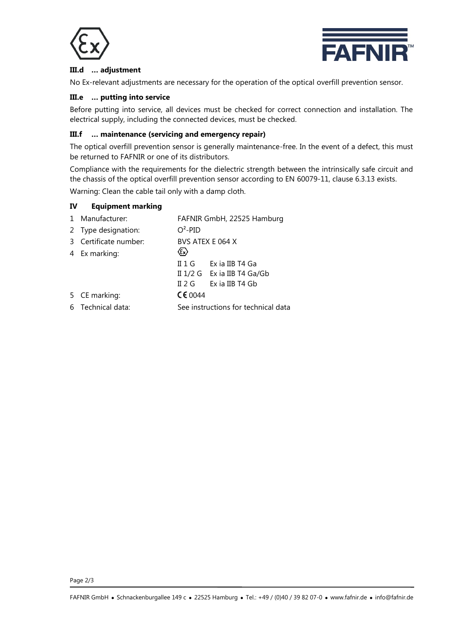



# **III.d … adjustment**

No Ex-relevant adjustments are necessary for the operation of the optical overfill prevention sensor.

### **III.e … putting into service**

Before putting into service, all devices must be checked for correct connection and installation. The electrical supply, including the connected devices, must be checked.

## **III.f … maintenance (servicing and emergency repair)**

The optical overfill prevention sensor is generally maintenance-free. In the event of a defect, this must be returned to FAFNIR or one of its distributors.

Compliance with the requirements for the dielectric strength between the intrinsically safe circuit and the chassis of the optical overfill prevention sensor according to EN 60079-11, clause 6.3.13 exists. Warning: Clean the cable tail only with a damp cloth.

## **IV Equipment marking**

| 1 Manufacturer:       | FAFNIR GmbH, 22525 Hamburg |                                     |  |
|-----------------------|----------------------------|-------------------------------------|--|
| 2 Type designation:   | $O^2$ -PID                 |                                     |  |
| 3 Certificate number: |                            | BVS ATEX E 064 X                    |  |
| 4 Ex marking:         | $\langle \epsilon \rangle$ |                                     |  |
|                       |                            | II 1 G Exia IIB T4 Ga               |  |
|                       |                            | II 1/2 G Ex ia IIB T4 Ga/Gb         |  |
|                       |                            | $II 2 G$ Exia IIB T4 Gb             |  |
| 5 CE marking:         | CE 0044                    |                                     |  |
| 6 Technical data:     |                            | See instructions for technical data |  |
|                       |                            |                                     |  |